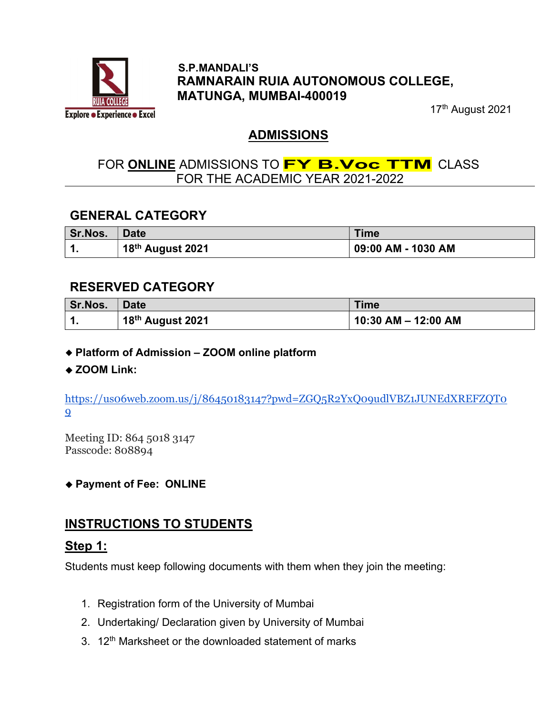

### S.P.MANDALI'S RAMNARAIN RUIA AUTONOMOUS COLLEGE, MATUNGA, MUMBAI-400019

17<sup>th</sup> August 2021

## ADMISSIONS

## FOR ONLINE ADMISSIONS TO **FY B.Voc TTM** CLASS FOR THE ACADEMIC YEAR 2021-2022

# GENERAL CATEGORY

| Sr.Nos. | <b>Date</b>      | <b>Time</b>        |
|---------|------------------|--------------------|
|         | 18th August 2021 | 09:00 AM - 1030 AM |

### RESERVED CATEGORY

| Sr.Nos. | <b>Date</b>      | <b>Time</b>         |
|---------|------------------|---------------------|
|         | 18th August 2021 | 10:30 AM - 12:00 AM |

#### Platform of Admission – ZOOM online platform

#### ◆ ZOOM Link:

https://us06web.zoom.us/j/86450183147?pwd=ZGQ5R2YxQ09udlVBZ1JUNEdXREFZQT0 9

Meeting ID: 864 5018 3147 Passcode: 808894

#### Payment of Fee: ONLINE

# INSTRUCTIONS TO STUDENTS

### Step 1:

Students must keep following documents with them when they join the meeting:

- 1. Registration form of the University of Mumbai
- 2. Undertaking/ Declaration given by University of Mumbai
- 3. 12<sup>th</sup> Marksheet or the downloaded statement of marks